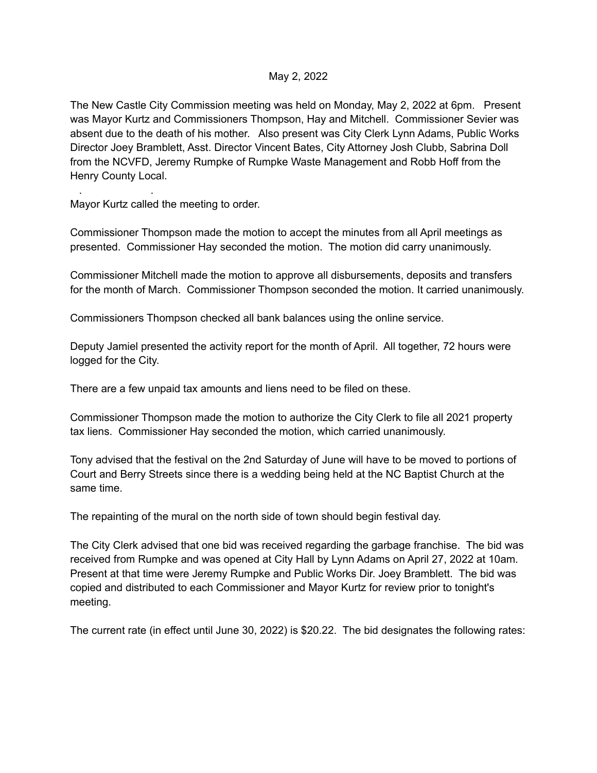## May 2, 2022

The New Castle City Commission meeting was held on Monday, May 2, 2022 at 6pm. Present was Mayor Kurtz and Commissioners Thompson, Hay and Mitchell. Commissioner Sevier was absent due to the death of his mother. Also present was City Clerk Lynn Adams, Public Works Director Joey Bramblett, Asst. Director Vincent Bates, City Attorney Josh Clubb, Sabrina Doll from the NCVFD, Jeremy Rumpke of Rumpke Waste Management and Robb Hoff from the Henry County Local.

Mayor Kurtz called the meeting to order.

. .

Commissioner Thompson made the motion to accept the minutes from all April meetings as presented. Commissioner Hay seconded the motion. The motion did carry unanimously.

Commissioner Mitchell made the motion to approve all disbursements, deposits and transfers for the month of March. Commissioner Thompson seconded the motion. It carried unanimously.

Commissioners Thompson checked all bank balances using the online service.

Deputy Jamiel presented the activity report for the month of April. All together, 72 hours were logged for the City.

There are a few unpaid tax amounts and liens need to be filed on these.

Commissioner Thompson made the motion to authorize the City Clerk to file all 2021 property tax liens. Commissioner Hay seconded the motion, which carried unanimously.

Tony advised that the festival on the 2nd Saturday of June will have to be moved to portions of Court and Berry Streets since there is a wedding being held at the NC Baptist Church at the same time.

The repainting of the mural on the north side of town should begin festival day.

The City Clerk advised that one bid was received regarding the garbage franchise. The bid was received from Rumpke and was opened at City Hall by Lynn Adams on April 27, 2022 at 10am. Present at that time were Jeremy Rumpke and Public Works Dir. Joey Bramblett. The bid was copied and distributed to each Commissioner and Mayor Kurtz for review prior to tonight's meeting.

The current rate (in effect until June 30, 2022) is \$20.22. The bid designates the following rates: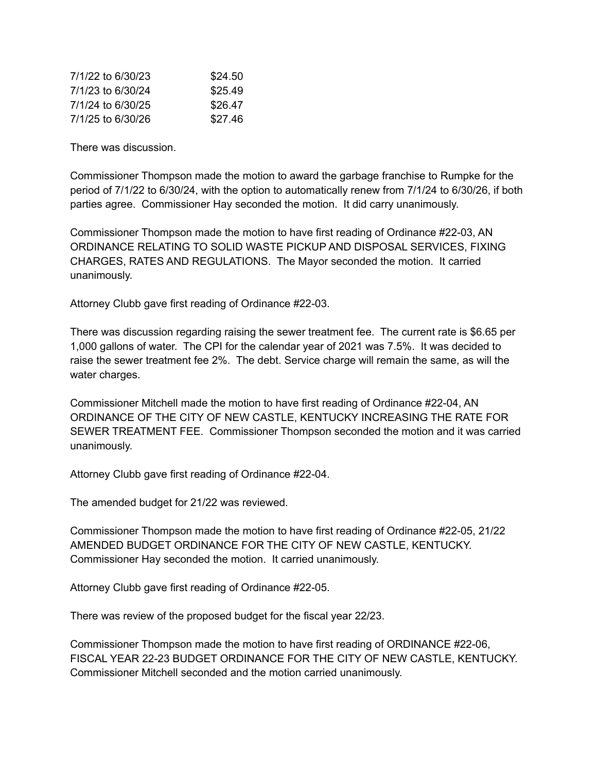| 7/1/22 to 6/30/23 | \$24.50 |
|-------------------|---------|
| 7/1/23 to 6/30/24 | \$25.49 |
| 7/1/24 to 6/30/25 | \$26.47 |
| 7/1/25 to 6/30/26 | \$27.46 |

There was discussion.

Commissioner Thompson made the motion to award the garbage franchise to Rumpke for the period of 7/1/22 to 6/30/24, with the option to automatically renew from 7/1/24 to 6/30/26, if both parties agree. Commissioner Hay seconded the motion. It did carry unanimously.

Commissioner Thompson made the motion to have first reading of Ordinance #22-03, AN ORDINANCE RELATING TO SOLID WASTE PICKUP AND DISPOSAL SERVICES, FIXING CHARGES, RATES AND REGULATIONS. The Mayor seconded the motion. It carried unanimously.

Attorney Clubb gave first reading of Ordinance #22-03.

There was discussion regarding raising the sewer treatment fee. The current rate is \$6.65 per 1,000 gallons of water. The CPI for the calendar year of 2021 was 7.5%. It was decided to raise the sewer treatment fee 2%. The debt. Service charge will remain the same, as will the water charges.

Commissioner Mitchell made the motion to have first reading of Ordinance #22-04, AN ORDINANCE OF THE CITY OF NEW CASTLE, KENTUCKY INCREASING THE RATE FOR SEWER TREATMENT FEE. Commissioner Thompson seconded the motion and it was carried unanimously.

Attorney Clubb gave first reading of Ordinance #22-04.

The amended budget for 21/22 was reviewed.

Commissioner Thompson made the motion to have first reading of Ordinance #22-05, 21/22 AMENDED BUDGET ORDINANCE FOR THE CITY OF NEW CASTLE, KENTUCKY. Commissioner Hay seconded the motion. It carried unanimously.

Attorney Clubb gave first reading of Ordinance #22-05.

There was review of the proposed budget for the fiscal year 22/23.

Commissioner Thompson made the motion to have first reading of ORDINANCE #22-06, FISCAL YEAR 22-23 BUDGET ORDINANCE FOR THE CITY OF NEW CASTLE, KENTUCKY. Commissioner Mitchell seconded and the motion carried unanimously.